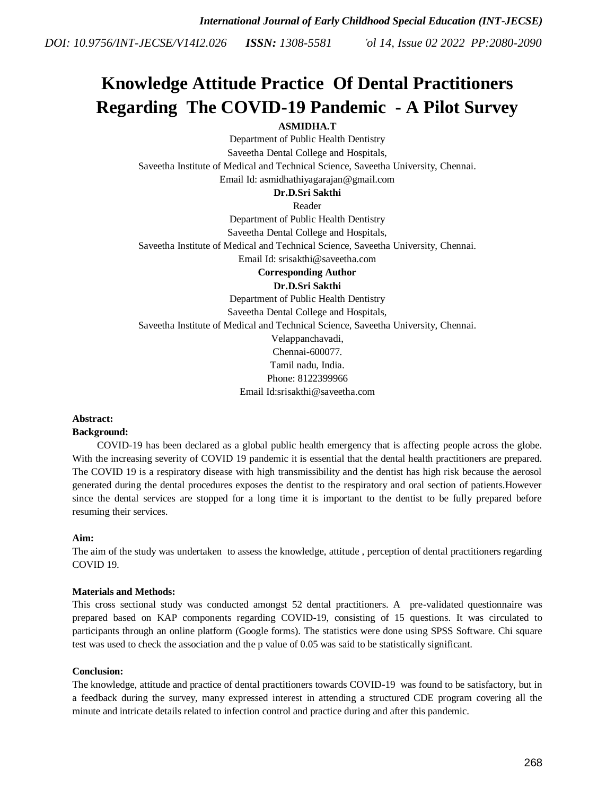# **Knowledge Attitude Practice Of Dental Practitioners Regarding The COVID-19 Pandemic - A Pilot Survey**

# **ASMIDHA.T**

Department of Public Health Dentistry Saveetha Dental College and Hospitals, Saveetha Institute of Medical and Technical Science, Saveetha University, Chennai. Email Id: asmidhathiyagarajan@gmail.com

# **Dr.D.Sri Sakthi**

Reader

Department of Public Health Dentistry Saveetha Dental College and Hospitals, Saveetha Institute of Medical and Technical Science, Saveetha University, Chennai. Email Id: srisakthi@saveetha.com

**Corresponding Author**

# **Dr.D.Sri Sakthi**

Department of Public Health Dentistry

Saveetha Dental College and Hospitals,

Saveetha Institute of Medical and Technical Science, Saveetha University, Chennai.

Velappanchavadi, Chennai-600077. Tamil nadu, India.

Phone: 8122399966

Email Id:srisakthi@saveetha.com

# **Abstract:**

# **Background:**

 COVID-19 has been declared as a global public health emergency that is affecting people across the globe. With the increasing severity of COVID 19 pandemic it is essential that the dental health practitioners are prepared. The COVID 19 is a respiratory disease with high transmissibility and the dentist has high risk because the aerosol generated during the dental procedures exposes the dentist to the respiratory and oral section of patients.However since the dental services are stopped for a long time it is important to the dentist to be fully prepared before resuming their services.

# **Aim:**

The aim of the study was undertaken to assess the knowledge, attitude , perception of dental practitioners regarding COVID 19.

# **Materials and Methods:**

This cross sectional study was conducted amongst 52 dental practitioners. A pre-validated questionnaire was prepared based on KAP components regarding COVID-19, consisting of 15 questions. It was circulated to participants through an online platform (Google forms). The statistics were done using SPSS Software. Chi square test was used to check the association and the p value of 0.05 was said to be statistically significant.

# **Conclusion:**

The knowledge, attitude and practice of dental practitioners towards COVID-19 was found to be satisfactory, but in a feedback during the survey, many expressed interest in attending a structured CDE program covering all the minute and intricate details related to infection control and practice during and after this pandemic.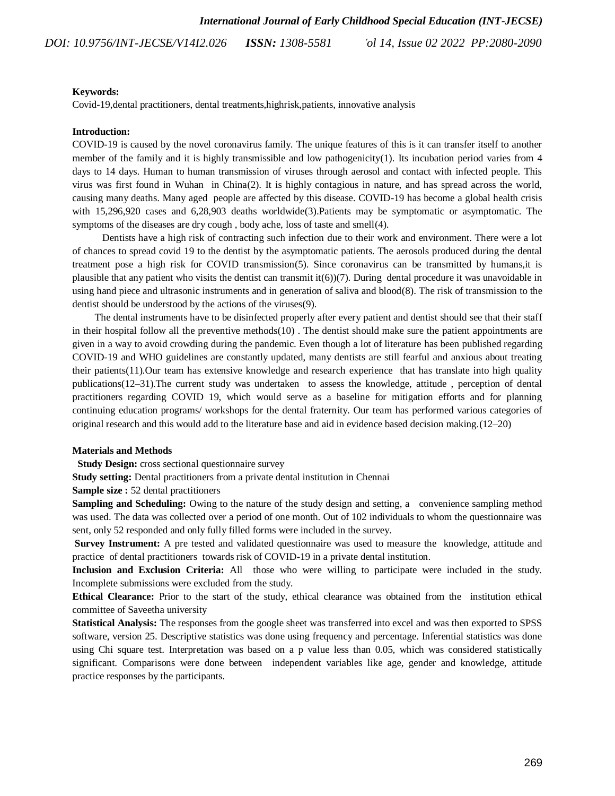#### **Keywords:**

Covid-19,dental practitioners, dental treatments,highrisk,patients, innovative analysis

#### **Introduction:**

COVID-19 is caused by the novel coronavirus family. The unique features of this is it can transfer itself to another member of the family and it is highly transmissible and low pathogenicit[y\(1\).](https://paperpile.com/c/JI58bX/2WpL) Its incubation period varies from 4 days to 14 days. Human to human transmission of viruses through aerosol and contact with infected people. This virus was first found in Wuhan in Chin[a\(2\).](https://paperpile.com/c/JI58bX/9dDO) It is highly contagious in nature, and has spread across the world, causing many deaths. Many aged people are affected by this disease. COVID-19 has become a global health crisis with 15,296,920 cases and 6,28,903 deaths worldwid[e\(3\).](https://paperpile.com/c/JI58bX/5S58)Patients may be symptomatic or asymptomatic. The symptoms of the diseases are dry cough , body ache, loss of taste and smel[l\(4\).](https://paperpile.com/c/JI58bX/bHKD)

 Dentists have a high risk of contracting such infection due to their work and environment. There were a lot of chances to spread covid 19 to the dentist by the asymptomatic patients. The aerosols produced during the dental treatment pose a high risk for COVID transmissio[n\(5\).](https://paperpile.com/c/JI58bX/AgN9) Since coronavirus can be transmitted by humans,it is plausible that any patient who visits the dentist can transmit i[t\(6\)\)](https://paperpile.com/c/JI58bX/WPyL)[\(7\).](https://paperpile.com/c/JI58bX/VS1M) During dental procedure it was unavoidable in using hand piece and ultrasonic instruments and in generation of saliva and bloo[d\(8\).](https://paperpile.com/c/JI58bX/eY7d) The risk of transmission to the dentist should be understood by the actions of the viruse[s\(9\).](https://paperpile.com/c/JI58bX/sLAu)

 The dental instruments have to be disinfected properly after every patient and dentist should see that their staff in their hospital follow all the preventive method[s\(10\)](https://paperpile.com/c/JI58bX/T6E4) . The dentist should make sure the patient appointments are given in a way to avoid crowding during the pandemic. Even though a lot of literature has been published regarding COVID-19 and WHO guidelines are constantly updated, many dentists are still fearful and anxious about treating their patient[s\(11\).](https://paperpile.com/c/JI58bX/4ANE)Our team has extensive knowledge and research experience that has translate into high quality publication[s\(12–31\).](https://paperpile.com/c/JI58bX/Ukidr+wZ2Hw+eIMg5+LTsd5+7VZF8+tYP2I+HuL0v+utIgu+Zb9px)The current study was undertaken to assess the knowledge, attitude , perception of dental practitioners regarding COVID 19, which would serve as a baseline for mitigation efforts and for planning continuing education programs/ workshops for the dental fraternity. Our team has performed various categories of original research and this would add to the literature base and aid in evidence based decision making[.\(12–20\)](https://paperpile.com/c/JI58bX/Ukidr+wZ2Hw+eIMg5+LTsd5+7VZF8+tYP2I+HuL0v+utIgu+Zb9px)

#### **Materials and Methods**

**Study Design:** cross sectional questionnaire survey

**Study setting:** Dental practitioners from a private dental institution in Chennai

**Sample size : 52 dental practitioners** 

Sampling and Scheduling: Owing to the nature of the study design and setting, a convenience sampling method was used. The data was collected over a period of one month. Out of 102 individuals to whom the questionnaire was sent, only 52 responded and only fully filled forms were included in the survey.

**Survey Instrument:** A pre tested and validated questionnaire was used to measure the knowledge, attitude and practice of dental practitioners towards risk of COVID-19 in a private dental institution.

**Inclusion and Exclusion Criteria:** All those who were willing to participate were included in the study. Incomplete submissions were excluded from the study.

**Ethical Clearance:** Prior to the start of the study, ethical clearance was obtained from the institution ethical committee of Saveetha university

**Statistical Analysis:** The responses from the google sheet was transferred into excel and was then exported to SPSS software, version 25. Descriptive statistics was done using frequency and percentage. Inferential statistics was done using Chi square test. Interpretation was based on a p value less than 0.05, which was considered statistically significant. Comparisons were done between independent variables like age, gender and knowledge, attitude practice responses by the participants.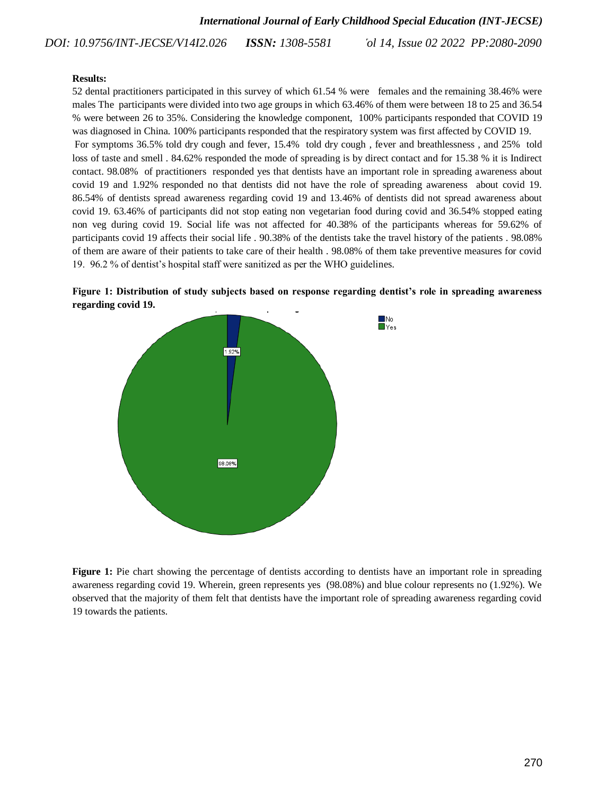#### **Results:**

52 dental practitioners participated in this survey of which 61.54 % were females and the remaining 38.46% were males The participants were divided into two age groups in which 63.46% of them were between 18 to 25 and 36.54 % were between 26 to 35%. Considering the knowledge component, 100% participants responded that COVID 19 was diagnosed in China. 100% participants responded that the respiratory system was first affected by COVID 19. For symptoms 36.5% told dry cough and fever, 15.4% told dry cough , fever and breathlessness , and 25% told loss of taste and smell . 84.62% responded the mode of spreading is by direct contact and for 15.38 % it is Indirect contact. 98.08% of practitioners responded yes that dentists have an important role in spreading awareness about covid 19 and 1.92% responded no that dentists did not have the role of spreading awareness about covid 19. 86.54% of dentists spread awareness regarding covid 19 and 13.46% of dentists did not spread awareness about covid 19. 63.46% of participants did not stop eating non vegetarian food during covid and 36.54% stopped eating

non veg during covid 19. Social life was not affected for 40.38% of the participants whereas for 59.62% of participants covid 19 affects their social life . 90.38% of the dentists take the travel history of the patients . 98.08% of them are aware of their patients to take care of their health . 98.08% of them take preventive measures for covid 19. 96.2 % of dentist's hospital staff were sanitized as per the WHO guidelines.





**Figure 1:** Pie chart showing the percentage of dentists according to dentists have an important role in spreading awareness regarding covid 19. Wherein, green represents yes (98.08%) and blue colour represents no (1.92%). We observed that the majority of them felt that dentists have the important role of spreading awareness regarding covid 19 towards the patients.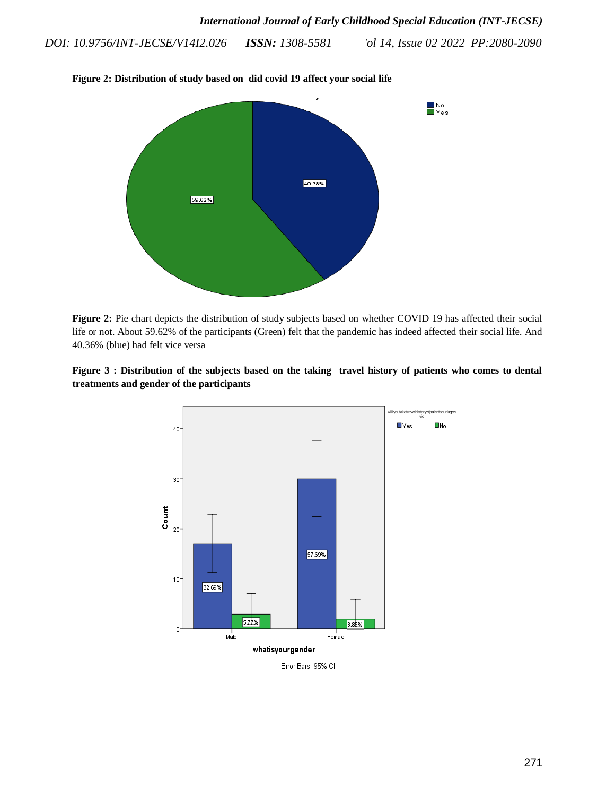

**Figure 2: Distribution of study based on did covid 19 affect your social life**

**Figure 2:** Pie chart depicts the distribution of study subjects based on whether COVID 19 has affected their social life or not. About 59.62% of the participants (Green) felt that the pandemic has indeed affected their social life. And 40.36% (blue) had felt vice versa





Error Bars: 95% CI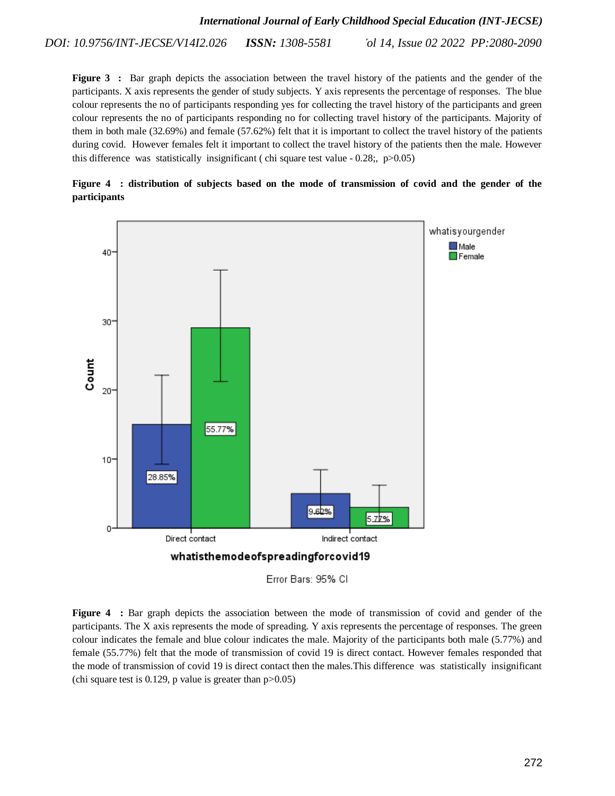**Figure 3** : Bar graph depicts the association between the travel history of the patients and the gender of the participants. X axis represents the gender of study subjects. Y axis represents the percentage of responses. The blue colour represents the no of participants responding yes for collecting the travel history of the participants and green colour represents the no of participants responding no for collecting travel history of the participants. Majority of them in both male (32.69%) and female (57.62%) felt that it is important to collect the travel history of the patients during covid. However females felt it important to collect the travel history of the patients then the male. However this difference was statistically insignificant (chi square test value -  $0.28$ ;, p $>0.05$ )





Figure 4 : Bar graph depicts the association between the mode of transmission of covid and gender of the participants. The X axis represents the mode of spreading. Y axis represents the percentage of responses. The green colour indicates the female and blue colour indicates the male. Majority of the participants both male (5.77%) and female (55.77%) felt that the mode of transmission of covid 19 is direct contact. However females responded that the mode of transmission of covid 19 is direct contact then the males.This difference was statistically insignificant (chi square test is  $0.129$ , p value is greater than  $p > 0.05$ )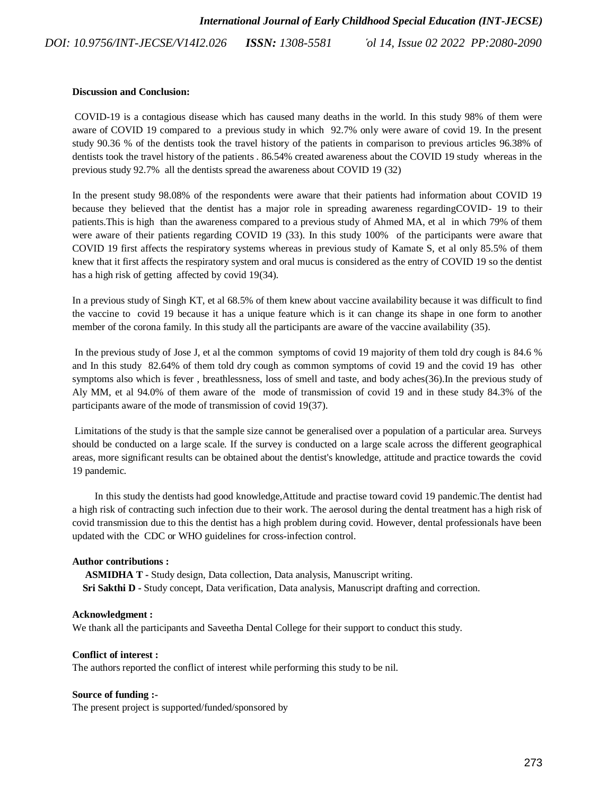#### **Discussion and Conclusion:**

COVID-19 is a contagious disease which has caused many deaths in the world. In this study 98% of them were aware of COVID 19 compared to a previous study in which 92.7% only were aware of covid 19. In the present study 90.36 % of the dentists took the travel history of the patients in comparison to previous articles 96.38% of dentists took the travel history of the patients . 86.54% created awareness about the COVID 19 study whereas in the previous study 92.7% all the dentists spread the awareness about COVID 19 [\(32\)](https://paperpile.com/c/JI58bX/jJnJ)

In the present study 98.08% of the respondents were aware that their patients had information about COVID 19 because they believed that the dentist has a major role in spreading awareness regardingCOVID- 19 to their patients.This is high than the awareness compared to a previous study of [Ahmed MA,](http://paperpile.com/b/JI58bX/p1qv) et al in which 79% of them were aware of their patients regarding COVID 19 [\(33\).](https://paperpile.com/c/JI58bX/p1qv) In this study 100% of the participants were aware that COVID 19 first affects the respiratory systems whereas in previous study of [Kamate S,](http://paperpile.com/b/JI58bX/4AqF) et al only 85.5% of them knew that it first affects the respiratory system and oral mucus is considered as the entry of COVID 19 so the dentist has a high risk of getting affected by covid 1[9\(34\).](https://paperpile.com/c/JI58bX/4AqF)

In a previous study of [Singh KT,](http://paperpile.com/b/JI58bX/33bA) et al 68.5% of them knew about vaccine availability because it was difficult to find the vaccine to covid 19 because it has a unique feature which is it can change its shape in one form to another member of the corona family. In this study all the participants are aware of the vaccine availability [\(35\).](https://paperpile.com/c/JI58bX/33bA)

In the previous study of [Jose J,](http://paperpile.com/b/JI58bX/8S5G) et al the common symptoms of covid 19 majority of them told dry cough is 84.6 % and In this study 82.64% of them told dry cough as common symptoms of covid 19 and the covid 19 has other symptoms also which is fever , breathlessness, loss of smell and taste, and body ache[s\(3](https://paperpile.com/c/JI58bX/8S5G)6).In the previous study of [Aly MM, e](http://paperpile.com/b/JI58bX/xshU)t al 94.0% of them aware of the mode of transmission of covid 19 and in these study 84.3% of the participants aware of the mode of transmission of covid 1[9\(37\).](https://paperpile.com/c/JI58bX/xshU)

Limitations of the study is that the sample size cannot be generalised over a population of a particular area. Surveys should be conducted on a large scale. If the survey is conducted on a large scale across the different geographical areas, more significant results can be obtained about the dentist's knowledge, attitude and practice towards the covid 19 pandemic.

 In this study the dentists had good knowledge,Attitude and practise toward covid 19 pandemic.The dentist had a high risk of contracting such infection due to their work. The aerosol during the dental treatment has a high risk of covid transmission due to this the dentist has a high problem during covid. However, dental professionals have been updated with the CDC or WHO guidelines for cross-infection control.

#### **Author contributions :**

 **ASMIDHA T -** Study design, Data collection, Data analysis, Manuscript writing. **Sri Sakthi D -** Study concept, Data verification, Data analysis, Manuscript drafting and correction.

#### **Acknowledgment :**

We thank all the participants and Saveetha Dental College for their support to conduct this study.

#### **Conflict of interest :**

The authors reported the conflict of interest while performing this study to be nil.

### **Source of funding :-**

The present project is supported/funded/sponsored by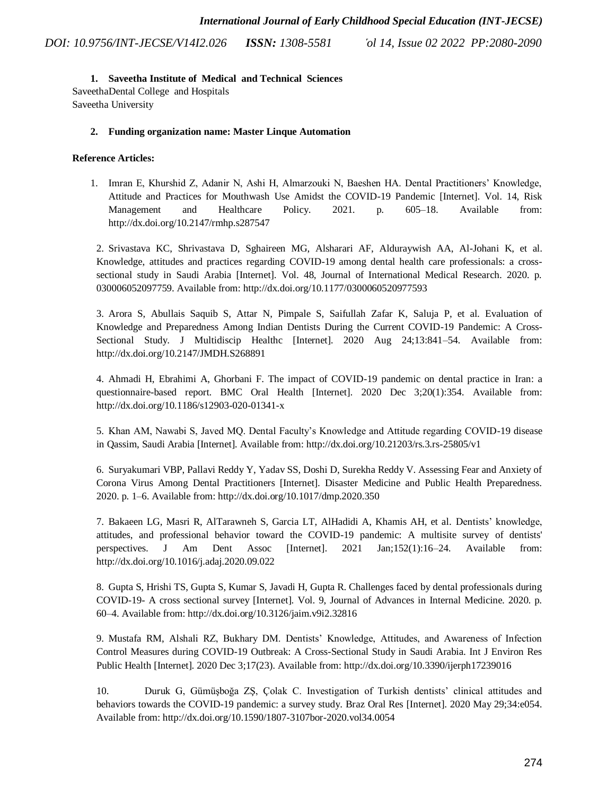# **1. Saveetha Institute of Medical and Technical Sciences**

SaveethaDental College and Hospitals Saveetha University

# **2. Funding organization name: Master Linque Automation**

# **Reference Articles:**

1. [Imran E, Khurshid Z, Adanir N, Ashi H, Almarzouki N, Baeshen HA. Dental Practitioners' Knowledge,](http://paperpile.com/b/JI58bX/2WpL)  [Attitude and Practices for Mouthwash Use Amidst the COVID-19 Pandemic \[Internet\]. Vol. 14, Risk](http://paperpile.com/b/JI58bX/2WpL)  [Management and Healthcare Policy. 2021. p. 605–18. Available from:](http://paperpile.com/b/JI58bX/2WpL)  [http://dx.doi.org/10.2147/rmhp.s287547](http://paperpile.com/b/JI58bX/2WpL)

2. [Srivastava KC, Shrivastava D, Sghaireen MG, Alsharari AF, Alduraywish AA, Al-Johani K, et al.](http://paperpile.com/b/JI58bX/9dDO)  [Knowledge, attitudes and practices regarding COVID-19 among dental health care professionals: a cross](http://paperpile.com/b/JI58bX/9dDO)[sectional study in Saudi Arabia \[Internet\]. Vol. 48, Journal of International Medical Research. 2020. p.](http://paperpile.com/b/JI58bX/9dDO)  [030006052097759. Available from: http://dx.doi.org/10.1177/0300060520977593](http://paperpile.com/b/JI58bX/9dDO)

3. [Arora S, Abullais Saquib S, Attar N, Pimpale S, Saifullah Zafar K, Saluja P, et al. Evaluation of](http://paperpile.com/b/JI58bX/5S58)  [Knowledge and Preparedness Among Indian Dentists During the Current COVID-19 Pandemic: A Cross-](http://paperpile.com/b/JI58bX/5S58)[Sectional Study. J Multidiscip Healthc \[Internet\]. 2020 Aug 24;13:841–54. Available from:](http://paperpile.com/b/JI58bX/5S58)  [http://dx.doi.org/10.2147/JMDH.S268891](http://paperpile.com/b/JI58bX/5S58)

4. [Ahmadi H, Ebrahimi A, Ghorbani F. The impact of COVID-19 pandemic on dental practice in Iran: a](http://paperpile.com/b/JI58bX/bHKD)  [questionnaire-based report. BMC Oral Health \[Internet\]. 2020 Dec 3;20\(1\):354. Available from:](http://paperpile.com/b/JI58bX/bHKD)  [http://dx.doi.org/10.1186/s12903-020-01341-x](http://paperpile.com/b/JI58bX/bHKD)

5. [Khan AM, Nawabi S, Javed MQ. Dental Faculty's Knowledge and Attitude regarding COVID-19 disease](http://paperpile.com/b/JI58bX/AgN9)  [in Qassim, Saudi Arabia \[Internet\]. Available from: http://dx.doi.org/10.21203/rs.3.rs-25805/v1](http://paperpile.com/b/JI58bX/AgN9)

6. [Suryakumari VBP, Pallavi Reddy Y, Yadav SS, Doshi D, Surekha Reddy V. Assessing Fear and Anxiety of](http://paperpile.com/b/JI58bX/WPyL)  [Corona Virus Among Dental Practitioners \[Internet\]. Disaster Medicine and Public Health Preparedness.](http://paperpile.com/b/JI58bX/WPyL)  [2020. p. 1–6. Available from: http://dx.doi.org/10.1017/dmp.2020.350](http://paperpile.com/b/JI58bX/WPyL)

7. [Bakaeen LG, Masri R, AlTarawneh S, Garcia LT, AlHadidi A, Khamis AH, et al. Dentists' knowledge,](http://paperpile.com/b/JI58bX/VS1M)  [attitudes, and professional behavior toward the COVID-19 pandemic: A multisite survey of dentists'](http://paperpile.com/b/JI58bX/VS1M)  [perspectives. J Am Dent Assoc \[Internet\]. 2021 Jan;152\(1\):16–24. Available from:](http://paperpile.com/b/JI58bX/VS1M)  [http://dx.doi.org/10.1016/j.adaj.2020.09.022](http://paperpile.com/b/JI58bX/VS1M)

8. [Gupta S, Hrishi TS, Gupta S, Kumar S, Javadi H, Gupta R. Challenges faced by dental professionals during](http://paperpile.com/b/JI58bX/eY7d)  COVID-19- [A cross sectional survey \[Internet\]. Vol. 9, Journal of Advances in Internal Medicine. 2020. p.](http://paperpile.com/b/JI58bX/eY7d)  [60–4. Available from: http://dx.doi.org/10.3126/jaim.v9i2.32816](http://paperpile.com/b/JI58bX/eY7d)

9. [Mustafa RM, Alshali RZ, Bukhary DM. Dentists' Knowledge, Attitudes, and Awareness of Infection](http://paperpile.com/b/JI58bX/sLAu)  [Control Measures during COVID-19 Outbreak: A Cross-Sectional Study in Saudi Arabia. Int J Environ Res](http://paperpile.com/b/JI58bX/sLAu)  [Public Health \[Internet\]. 2020 Dec 3;17\(23\). Available from: http://dx.doi.org/10.3390/ijerph17239016](http://paperpile.com/b/JI58bX/sLAu)

10. [Duruk G, Gümüşboğa ZŞ, Çolak C. Investigation of Turkish dentists' clinical attitudes and](http://paperpile.com/b/JI58bX/T6E4)  [behaviors towards the COVID-19 pandemic: a survey study. Braz Oral Res \[Internet\]. 2020 May 29;34:e054.](http://paperpile.com/b/JI58bX/T6E4)  [Available from: http://dx.doi.org/10.1590/1807-3107bor-2020.vol34.0054](http://paperpile.com/b/JI58bX/T6E4)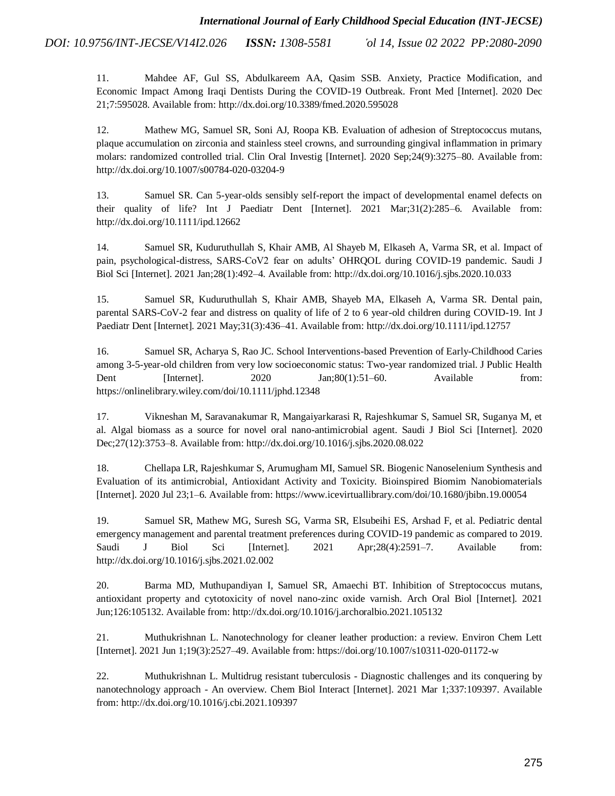> 11. [Mahdee AF, Gul SS, Abdulkareem AA, Qasim SSB. Anxiety, Practice Modification, and](http://paperpile.com/b/JI58bX/4ANE)  [Economic Impact Among Iraqi Dentists During the COVID-19 Outbreak. Front Med \[Internet\]. 2020 Dec](http://paperpile.com/b/JI58bX/4ANE)  [21;7:595028. Available from: http://dx.doi.org/10.3389/fmed.2020.595028](http://paperpile.com/b/JI58bX/4ANE)

> 12. [Mathew MG, Samuel SR, Soni AJ, Roopa KB. Evaluation of adhesion of Streptococcus mutans,](http://paperpile.com/b/JI58bX/Ukidr)  [plaque accumulation on zirconia and stainless steel crowns, and surrounding gingival inflammation in primary](http://paperpile.com/b/JI58bX/Ukidr)  [molars: randomized controlled trial. Clin Oral Investig \[Internet\]. 2020 Sep;24\(9\):3275–80. Available from:](http://paperpile.com/b/JI58bX/Ukidr)  [http://dx.doi.org/10.1007/s00784-020-03204-9](http://paperpile.com/b/JI58bX/Ukidr)

> 13. [Samuel SR. Can 5-year-olds sensibly self-report the impact of developmental enamel defects on](http://paperpile.com/b/JI58bX/wZ2Hw)  [their quality of life? Int J Paediatr Dent \[Internet\]. 2021 Mar;31\(2\):285–6. Available from:](http://paperpile.com/b/JI58bX/wZ2Hw)  [http://dx.doi.org/10.1111/ipd.12662](http://paperpile.com/b/JI58bX/wZ2Hw)

> 14. [Samuel SR, Kuduruthullah S, Khair AMB, Al Shayeb M, Elkaseh](http://paperpile.com/b/JI58bX/eIMg5) A, Varma SR, [et al. Impact of](http://paperpile.com/b/JI58bX/eIMg5)  [pain, psychological-distress, SARS-CoV2 fear on adults' OHRQOL](http://paperpile.com/b/JI58bX/eIMg5) [during COVID-19 pandemic. Saudi J](http://paperpile.com/b/JI58bX/eIMg5)  [Biol Sci \[Internet\]. 2021 Jan;28\(1\):492–4. Available from: http://dx.doi.org/10.1016/j.sjbs.2020.10.033](http://paperpile.com/b/JI58bX/eIMg5)

> 15. [Samuel SR, Kuduruthullah S, Khair AMB, Shayeb MA, Elkaseh](http://paperpile.com/b/JI58bX/LTsd5) [A, Varma SR. Dental pain,](http://paperpile.com/b/JI58bX/LTsd5)  [parental SARS-CoV-2 fear and distress on quality of life of 2 to 6 year-old children during COVID-19. Int J](http://paperpile.com/b/JI58bX/LTsd5)  Paediatr Dent [Internet]. [2021 May;31\(3\):436–41. Available from: http://dx.doi.org/10.1111/ipd.12757](http://paperpile.com/b/JI58bX/LTsd5)

> 16. [Samuel SR, Acharya S, Rao JC. School Interventions-based Prevention of Early-Childhood Caries](http://paperpile.com/b/JI58bX/7VZF8)  [among 3-5-year-old children from very low socioeconomic status: Two-year randomized trial. J Public Health](http://paperpile.com/b/JI58bX/7VZF8)  Dent [Internet]. 2020 Jan;80(1):51–60. Available from: [https://onlinelibrary.wiley.com/doi/10.1111/jphd.12348](http://paperpile.com/b/JI58bX/7VZF8)

> 17. [Vikneshan M, Saravanakumar R, Mangaiyarkarasi R, Rajeshkumar S, Samuel SR, Suganya M, et](http://paperpile.com/b/JI58bX/tYP2I)  [al. Algal biomass as a source for novel oral nano-antimicrobial agent. Saudi J Biol Sci \[Internet\]. 2020](http://paperpile.com/b/JI58bX/tYP2I)  [Dec;27\(12\):3753–8. Available from: http://dx.doi.org/10.1016/j.sjbs.2020.08.022](http://paperpile.com/b/JI58bX/tYP2I)

> 18. [Chellapa](http://paperpile.com/b/JI58bX/HuL0v) [LR, Rajeshkumar S, Arumugham MI, Samuel SR. Biogenic Nanoselenium Synthesis and](http://paperpile.com/b/JI58bX/HuL0v)  Evaluation of its antimicrobial, Antioxidant Activity and Toxicity. Bioinspired Biomim Nanobiomaterials [Internet]. 2020 Jul 23;1–6. Available from:<https://www.icevirtuallibrary.com/doi/10.1680/jbibn.19.00054>

> 19. [Samuel SR, Mathew MG, Suresh SG, Varma SR, Elsubeihi](http://paperpile.com/b/JI58bX/utIgu) [ES, Arshad F, et al. Pediatric dental](http://paperpile.com/b/JI58bX/utIgu)  [emergency management and parental treatment preferences during COVID-19 pandemic as compared to 2019.](http://paperpile.com/b/JI58bX/utIgu)  [Saudi J Biol Sci \[Internet\]. 2021 Apr;28\(4\):2591–7. Available from:](http://paperpile.com/b/JI58bX/utIgu)  [http://dx.doi.org/10.1016/j.sjbs.2021.02.002](http://paperpile.com/b/JI58bX/utIgu)

> 20. [Barma MD, Muthupandiyan I, Samuel SR, Amaechi BT. Inhibition of Streptococcus mutans,](http://paperpile.com/b/JI58bX/Zb9px)  [antioxidant property and cytotoxicity of novel nano-zinc oxide varnish. Arch Oral Biol \[Internet\]. 2021](http://paperpile.com/b/JI58bX/Zb9px)  [Jun;126:105132. Available from: http://dx.doi.org/10.1016/j.archoralbio.2021.105132](http://paperpile.com/b/JI58bX/Zb9px)

> 21. [Muthukrishnan L. Nanotechnology for cleaner leather production: a review. Environ Chem Lett](http://paperpile.com/b/JI58bX/c0jgt)  [\[Internet\]. 2021 Jun 1;19\(3\):2527–49. Available from: https://doi.org/10.1007/s10311-020-01172-w](http://paperpile.com/b/JI58bX/c0jgt)

> 22. [Muthukrishnan L. Multidrug resistant tuberculosis -](http://paperpile.com/b/JI58bX/l1NzQ) Diagnostic challenges and its conquering by nanotechnology approach - [An overview. Chem Biol Interact \[Internet\]. 2021 Mar 1;337:109397. Available](http://paperpile.com/b/JI58bX/l1NzQ)  [from: http://dx.doi.org/10.1016/j.cbi.2021.109397](http://paperpile.com/b/JI58bX/l1NzQ)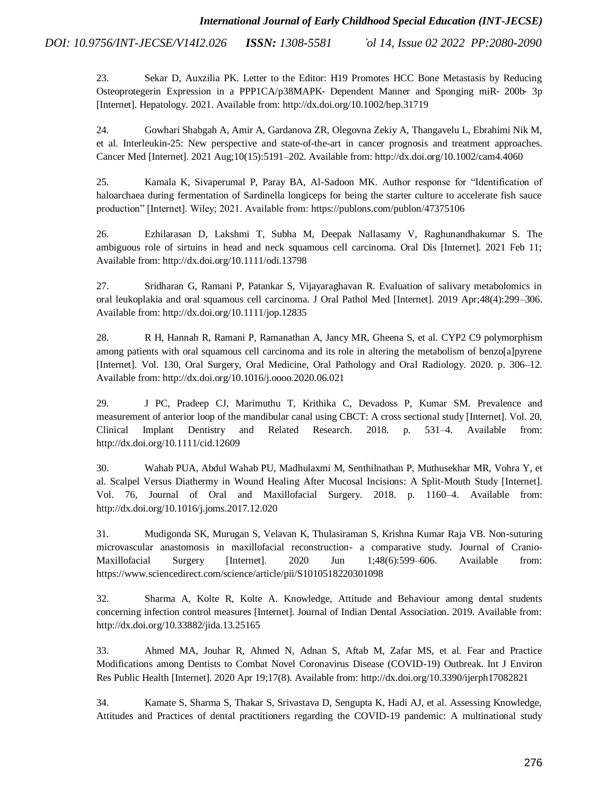> 23. [Sekar D, Auxzilia](http://paperpile.com/b/JI58bX/TOQrw) [PK. Letter to the Editor: H19 Promotes HCC Bone Metastasis by Reducing](http://paperpile.com/b/JI58bX/TOQrw)  [Osteoprotegerin Expression in a PPP1CA/p38MAPK](http://paperpile.com/b/JI58bX/TOQrw)‐ [Dependent Manner and Sponging miR](http://paperpile.com/b/JI58bX/TOQrw)‐ 200b‐ 3p [\[Internet\]. Hepatology. 2021. Available from: http://dx.doi.org/10.1002/hep.31719](http://paperpile.com/b/JI58bX/TOQrw)

> 24. [Gowhari Shabgah A, Amir A, Gardanova ZR, Olegovna Zekiy A, Thangavelu L, Ebrahimi Nik M,](http://paperpile.com/b/JI58bX/PK1OE)  [et al. Interleukin-25: New perspective and state-of-the-art in cancer prognosis and treatment approaches.](http://paperpile.com/b/JI58bX/PK1OE)  [Cancer Med \[Internet\]. 2021 Aug;10\(15\):5191–202. Available from: http://dx.doi.org/10.1002/cam4.4060](http://paperpile.com/b/JI58bX/PK1OE)

> 25. [Kamala K, Sivaperumal P, Paray BA, Al-Sadoon MK. Author response for "Identification of](http://paperpile.com/b/JI58bX/5ckdv)  [haloarchaea during fermentation of Sardinella longiceps for being the starter culture to accelerate fish sauce](http://paperpile.com/b/JI58bX/5ckdv)  [production" \[Internet\]. Wiley; 2021. Available from: https://publons.com/publon/47375106](http://paperpile.com/b/JI58bX/5ckdv)

> 26. [Ezhilarasan D, Lakshmi T, Subha M, Deepak Nallasamy V, Raghunandhakumar](http://paperpile.com/b/JI58bX/5jVR1) [S. The](http://paperpile.com/b/JI58bX/5jVR1)  [ambiguous role of sirtuins in head and neck squamous cell carcinoma. Oral Dis \[Internet\]. 2021 Feb 11;](http://paperpile.com/b/JI58bX/5jVR1)  [Available from: http://dx.doi.org/10.1111/odi.13798](http://paperpile.com/b/JI58bX/5jVR1)

> 27. [Sridharan G, Ramani P, Patankar S, Vijayaraghavan R. Evaluation of salivary metabolomics in](http://paperpile.com/b/JI58bX/mD6rd)  [oral leukoplakia and oral squamous cell carcinoma. J Oral Pathol Med \[Internet\]. 2019 Apr;48\(4\):299–306.](http://paperpile.com/b/JI58bX/mD6rd)  [Available from: http://dx.doi.org/10.1111/jop.12835](http://paperpile.com/b/JI58bX/mD6rd)

> 28. [R H, Hannah R, Ramani P, Ramanathan A, Jancy MR, Gheena S, et al. CYP2 C9](http://paperpile.com/b/JI58bX/wbVgz) [polymorphism](http://paperpile.com/b/JI58bX/wbVgz)  [among patients with oral squamous cell carcinoma and its role in altering the metabolism of benzo\[a\]pyrene](http://paperpile.com/b/JI58bX/wbVgz)  [\[Internet\]. Vol. 130, Oral Surgery, Oral Medicine, Oral Pathology and Oral Radiology. 2020. p. 306–12.](http://paperpile.com/b/JI58bX/wbVgz)  [Available from: http://dx.doi.org/10.1016/j.oooo.2020.06.021](http://paperpile.com/b/JI58bX/wbVgz)

> 29. [J PC, Pradeep CJ, Marimuthu T, Krithika C, Devadoss P, Kumar SM. Prevalence and](http://paperpile.com/b/JI58bX/9ACJN)  [measurement of anterior loop of the mandibular canal using CBCT: A cross sectional study \[Internet\]. Vol. 20,](http://paperpile.com/b/JI58bX/9ACJN)  [Clinical Implant Dentistry and Related Research. 2018. p. 531–4. Available from:](http://paperpile.com/b/JI58bX/9ACJN)  [http://dx.doi.org/10.1111/cid.12609](http://paperpile.com/b/JI58bX/9ACJN)

> 30. [Wahab PUA, Abdul Wahab PU, Madhulaxmi](http://paperpile.com/b/JI58bX/9fBkW) [M, Senthilnathan P, Muthusekhar](http://paperpile.com/b/JI58bX/9fBkW) [MR, Vohra Y, et](http://paperpile.com/b/JI58bX/9fBkW)  [al. Scalpel Versus Diathermy in Wound Healing After Mucosal Incisions: A Split-Mouth Study \[Internet\].](http://paperpile.com/b/JI58bX/9fBkW)  [Vol. 76, Journal of Oral and Maxillofacial Surgery. 2018. p. 1160–4. Available from:](http://paperpile.com/b/JI58bX/9fBkW)  [http://dx.doi.org/10.1016/j.joms.2017.12.020](http://paperpile.com/b/JI58bX/9fBkW)

> 31. [Mudigonda SK, Murugan S, Velavan K, Thulasiraman S, Krishna Kumar Raja VB. Non-suturing](http://paperpile.com/b/JI58bX/afEth)  [microvascular anastomosis in maxillofacial reconstruction-](http://paperpile.com/b/JI58bX/afEth) a comparative study. Journal of Cranio-[Maxillofacial Surgery \[Internet\]. 2020 Jun](http://paperpile.com/b/JI58bX/afEth) 1;48(6):599–606. Available from: [https://www.sciencedirect.com/science/article/pii/S1010518220301098](http://paperpile.com/b/JI58bX/afEth)

> 32. [Sharma A, Kolte R, Kolte A. Knowledge, Attitude and Behaviour among dental students](http://paperpile.com/b/JI58bX/jJnJ)  [concerning infection control measures \[Internet\]. Journal of Indian Dental Association. 2019. Available from:](http://paperpile.com/b/JI58bX/jJnJ)  [http://dx.doi.org/10.33882/jida.13.25165](http://paperpile.com/b/JI58bX/jJnJ)

> 33. [Ahmed MA, Jouhar R, Ahmed N, Adnan S, Aftab M, Zafar MS, et al. Fear and Practice](http://paperpile.com/b/JI58bX/p1qv)  [Modifications among Dentists to Combat Novel Coronavirus Disease \(COVID-19\) Outbreak. Int J Environ](http://paperpile.com/b/JI58bX/p1qv)  [Res Public Health \[Internet\]. 2020 Apr 19;17\(8\). Available from: http://dx.doi.org/10.3390/ijerph17082821](http://paperpile.com/b/JI58bX/p1qv)

> 34. [Kamate S, Sharma S, Thakar S, Srivastava D, Sengupta K, Hadi AJ, et al. Assessing Knowledge,](http://paperpile.com/b/JI58bX/4AqF)  [Attitudes and Practices of dental practitioners regarding the COVID-19 pandemic: A multinational study](http://paperpile.com/b/JI58bX/4AqF)